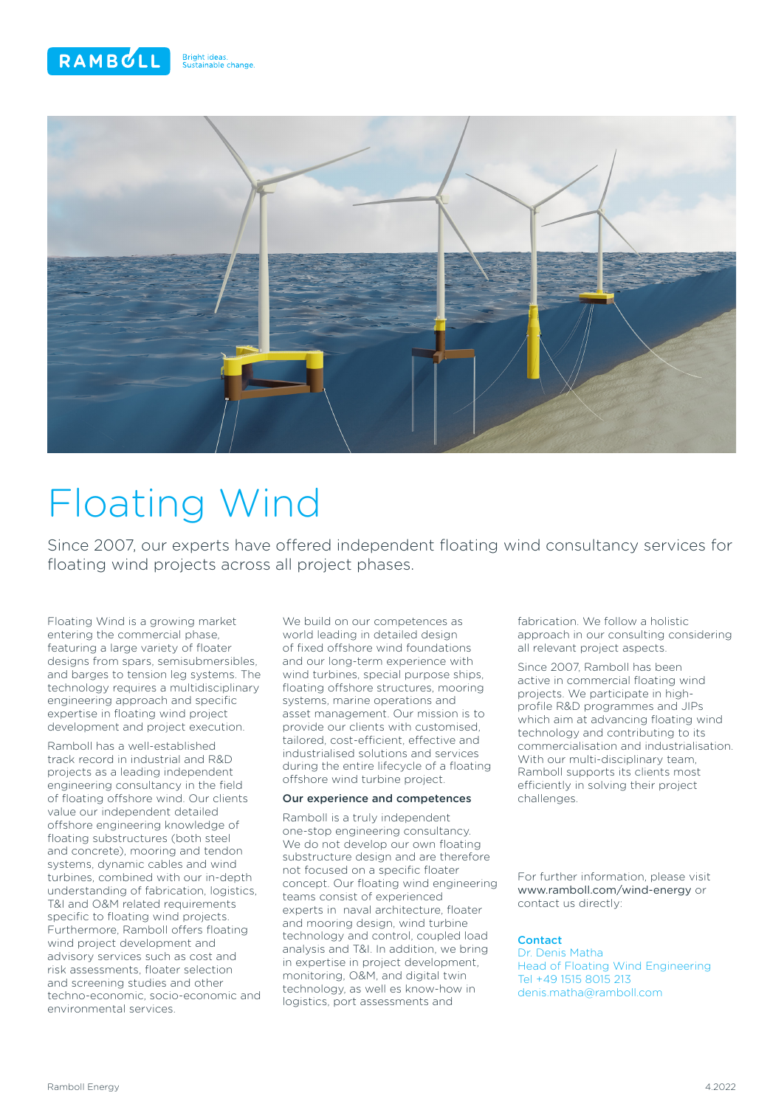



# Floating Wind

Since 2007, our experts have offered independent floating wind consultancy services for floating wind projects across all project phases.

Floating Wind is a growing market entering the commercial phase, featuring a large variety of floater designs from spars, semisubmersibles, and barges to tension leg systems. The technology requires a multidisciplinary engineering approach and specific expertise in floating wind project development and project execution.

Ramboll has a well-established track record in industrial and R&D projects as a leading independent engineering consultancy in the field of floating offshore wind. Our clients value our independent detailed offshore engineering knowledge of floating substructures (both steel and concrete), mooring and tendon systems, dynamic cables and wind turbines, combined with our in-depth understanding of fabrication, logistics, T&I and O&M related requirements specific to floating wind projects. Furthermore, Ramboll offers floating wind project development and advisory services such as cost and risk assessments, floater selection and screening studies and other techno-economic, socio-economic and environmental services.

We build on our competences as world leading in detailed design of fixed offshore wind foundations and our long-term experience with wind turbines, special purpose ships, floating offshore structures, mooring systems, marine operations and asset management. Our mission is to provide our clients with customised, tailored, cost-efficient, effective and industrialised solutions and services during the entire lifecycle of a floating offshore wind turbine project.

## Our experience and competences

Ramboll is a truly independent one-stop engineering consultancy. We do not develop our own floating substructure design and are therefore not focused on a specific floater concept. Our floating wind engineering teams consist of experienced experts in naval architecture, floater and mooring design, wind turbine technology and control, coupled load analysis and T&I. In addition, we bring in expertise in project development, monitoring, O&M, and digital twin technology, as well es know-how in logistics, port assessments and

fabrication. We follow a holistic approach in our consulting considering all relevant project aspects.

Since 2007, Ramboll has been active in commercial floating wind projects. We participate in highprofile R&D programmes and JIPs which aim at advancing floating wind technology and contributing to its commercialisation and industrialisation. With our multi-disciplinary team, Ramboll supports its clients most efficiently in solving their project challenges.

For further information, please visit www.ramboll.com/wind-energy or contact us directly:

## **Contact**

Dr. Denis Matha Head of Floating Wind Engineering Tel +49 1515 8015 213 denis.matha@ramboll.com